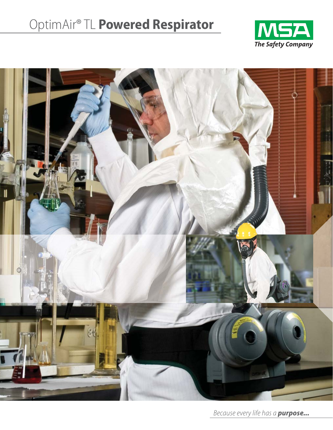# OptimAir® TL **Powered Respirator**





Because every life has a *purpose...*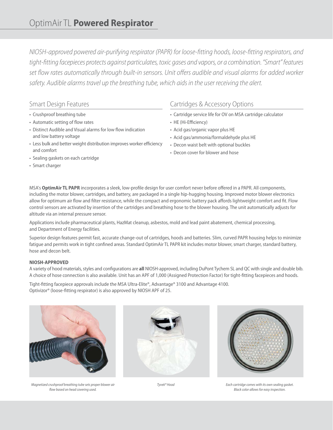NIOSH-approved powered air-purifying respirator (PAPR) for loose-fitting hoods, loose-fitting respirators, and tight-fitting facepieces protects against particulates, toxic gases and vapors, or a combination. "Smart" features set flow rates automatically through built-in sensors. Unit offers audible and visual alarms for added worker safety. Audible alarms travel up the breathing tube, which aids in the user receiving the alert.

## Smart Design Features

- Crushproof breathing tube
- Automatic setting of flow rates
- Distinct Audible and Visual alarms for low flow indication and low battery voltage
- Less bulk and better weight distribution improves worker efficiency and comfort
- Sealing gaskets on each cartridge
- Smart charger

## Cartridges & Accessory Options

- Cartridge service life for OV on MSA cartridge calculator
- HE (Hi-Efficiency)
- Acid gas/organic vapor plus HE
- Acid gas/ammonia/formaldehyde plus HE
- Decon waist belt with optional buckles
- Decon cover for blower and hose

MSA's **OptimAir TL PAPR** incorporates a sleek, low-profile design for user comfort never before offered in a PAPR. All components, including the motor blower, cartridges, and battery, are packaged in a single hip-hugging housing. Improved motor blower electronics allow for optimum air flow and filter resistance, while the compact and ergonomic battery pack affords lightweight comfort and fit. Flow control sensors are activated by insertion of the cartridges and breathing hose to the blower housing. The unit automatically adjusts for altitude via an internal pressure sensor.

Applications include pharmaceutical plants, HazMat cleanup, asbestos, mold and lead paint abatement, chemical processing, and Department of Energy facilities.

Superior design features permit fast, accurate change-out of cartridges, hoods and batteries. Slim, curved PAPR housing helps to minimize fatigue and permits work in tight confined areas. Standard OptimAir TL PAPR kit includes motor blower, smart charger, standard battery, hose and decon belt.

### **NIOSH-APPROVED**

A variety of hood materials, styles and configurations are **all** NIOSH-approved, including DuPont Tychem SL and QC with single and double bib. A choice of hose connection is also available. Unit has an APF of 1,000 (Assigned Protection Factor) for tight-fitting facepieces and hoods.

Tight-fitting facepiece approvals include the MSA Ultra-Elite®, Advantage® 3100 and Advantage 4100. Optivizor® (loose-fitting respirator) is also approved by NIOSH APF of 25.



Magnetized crushproof breathing tube sets proper blower air flow based on head covering used.





Tyvek® Hood Each cartridge comes with its own sealing gasket. Black color allows for easy inspection.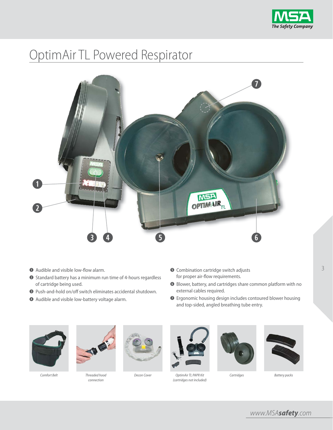

# OptimAir TL Powered Respirator



- **q** Audible and visible low-flow alarm.
- **w** Standard battery has a minimum run time of 4-hours regardless of cartridge being used.
- **e** Push-and-hold on/off switch eliminates accidental shutdown.
- $\bullet$  Audible and visible low-battery voltage alarm.
- $\bullet$  Combination cartridge switch adjusts for proper air-flow requirements.
- **y** Blower, battery, and cartridges share common platform with no external cables required.
- **u** Ergonomic housing design includes contoured blower housing and top-sided, angled breathing tube entry.



Comfort Belt Threaded hood



connection





Decon Cover Cover CoptimAir TL PAPR Kit Cartridges (cartridges not included)



3